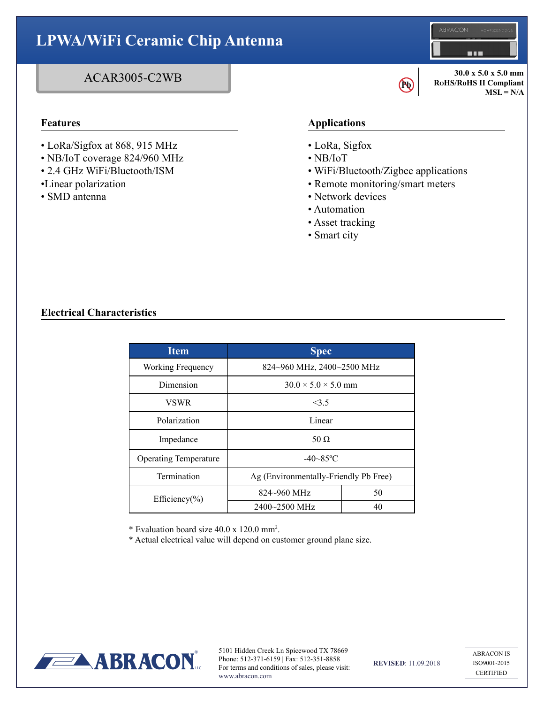### **LPWA/WiFi Ceramic Chip Antenna BAB 30.0 x 5.0 x 5.0 mm** ACAR3005-C2WB **RoHS/RoHS II Compliant Pb**   $MSL = N/A$ **Features Applications** • LoRa/Sigfox at 868, 915 MHz • LoRa, Sigfox • NB/IoT coverage 824/960 MHz • NB/IoT

- 2.4 GHz WiFi/Bluetooth/ISM
- •Linear polarization
- SMD antenna
- WiFi/Bluetooth/Zigbee applications
- Remote monitoring/smart meters
- Network devices
- Automation
- Asset tracking
- Smart city

## **Electrical Characteristics**

| Item                         | <b>Spec</b>                           |    |  |
|------------------------------|---------------------------------------|----|--|
| Working Frequency            | 824~960 MHz, 2400~2500 MHz            |    |  |
| Dimension                    | $30.0 \times 5.0 \times 5.0$ mm       |    |  |
| <b>VSWR</b>                  | 3.5                                   |    |  |
| Polarization                 | Linear                                |    |  |
| Impedance                    | 50 $\Omega$                           |    |  |
| <b>Operating Temperature</b> | $-40 - 85$ °C                         |    |  |
| Termination                  | Ag (Environmentally-Friendly Pb Free) |    |  |
| Efficiency(%)                | $824 - 960$ MHz                       | 50 |  |
|                              | $2400 - 2500$ MHz                     | 40 |  |

\* Evaluation board size 40.0 x 120.0 mm2 .

\* Actual electrical value will depend on customer ground plane size.



5101 Hidden Creek Ln Spicewood TX 78669 Phone: 512-371-6159 | Fax: 512-351-8858 For terms and conditions of sales, please visit: www.abracon.com

**REVISED**: 11.09.2018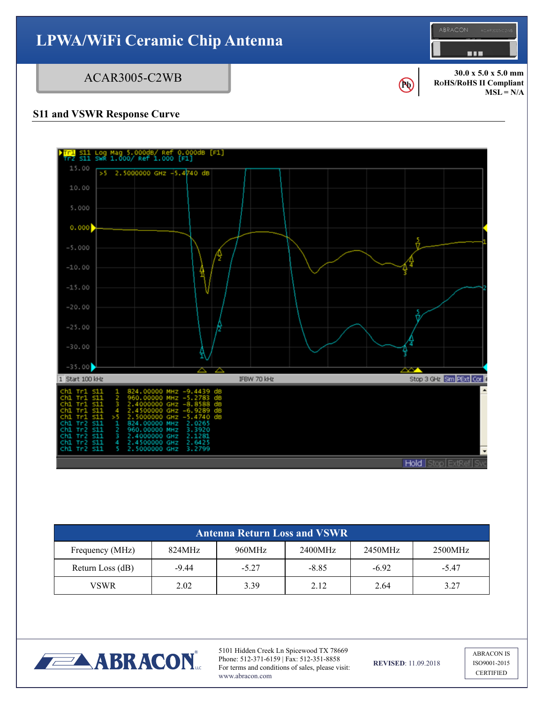



| <b>Antenna Return Loss and VSWR</b> |         |         |         |         |         |
|-------------------------------------|---------|---------|---------|---------|---------|
| Frequency (MHz)                     | 824MHz  | 960MHz  | 2400MHz | 2450MHz | 2500MHz |
| Return Loss (dB)                    | $-9.44$ | $-5.27$ | $-8.85$ | $-6.92$ | $-5.47$ |
| <b>VSWR</b>                         | 2.02    | 3.39    | 2.12    | 2.64    | 3.27    |



5101 Hidden Creek Ln Spicewood TX 78669 Phone: 512-371-6159 | Fax: 512-351-8858 For terms and conditions of sales, please visit: www.abracon.com

**REVISED**: 11.09.2018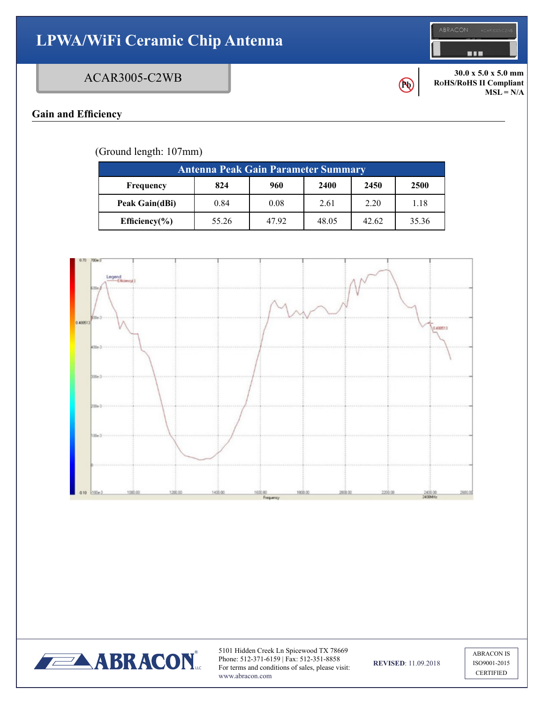# **LPWA/WiFi Ceramic Chip Antenna**

## ACAR3005-C2WB

**Pb** 

**30.0 x 5.0 x 5.0 mm RoHS/RoHS II Compliant**  $MSL = N/A$ 

**HILL** 

## **Gain and Efficiency**

(Ground length: 107mm)

| <b>Antenna Peak Gain Parameter Summary</b> |       |      |       |       |       |
|--------------------------------------------|-------|------|-------|-------|-------|
| Frequency                                  | 824   | 960  | 2400  | 2450  | 2500  |
| Peak Gain(dBi)                             | 0.84  | 0.08 | 2.61  | 2.20  | 1.18  |
| Efficiency $(\% )$                         | 55.26 | 4792 | 48.05 | 42.62 | 35.36 |





5101 Hidden Creek Ln Spicewood TX 78669 Phone: 512-371-6159 | Fax: 512-351-8858 For terms and conditions of sales, please visit: www.abracon.com

**REVISED**: 11.09.2018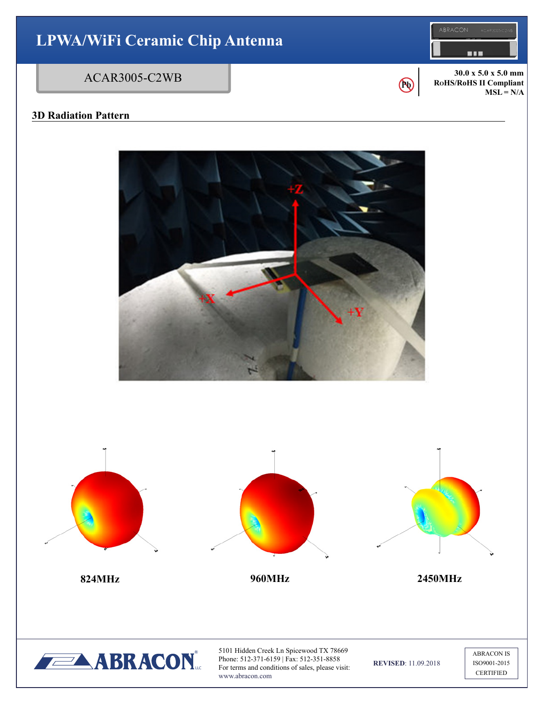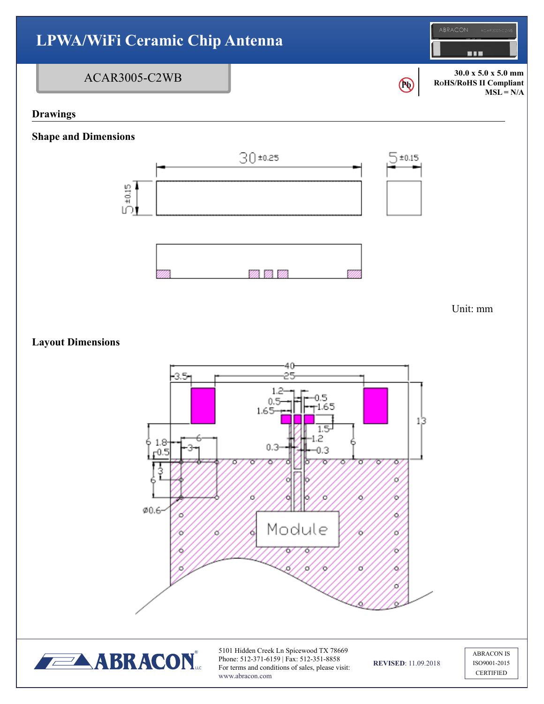

Phone: 512-371-6159 | Fax: 512-351-8858 For terms and conditions of sales, please visit: www.abracon.com

**REVISED**: 11.09.2018

ISO9001-2015 **CERTIFIED**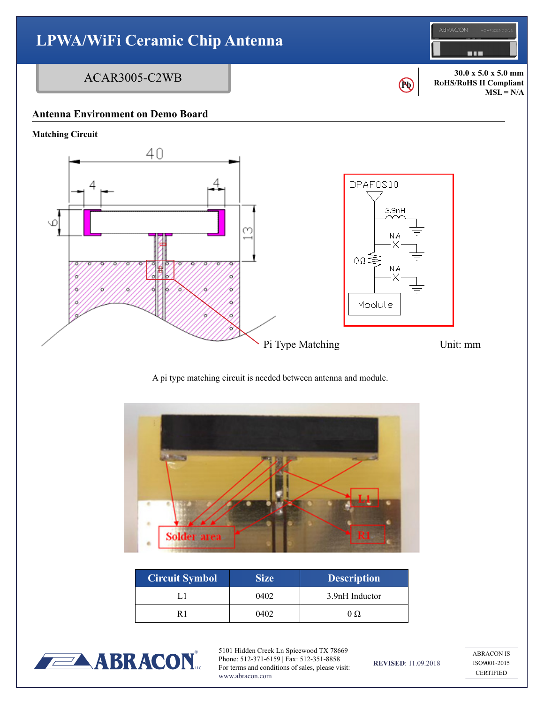



| <b>Circuit Symbol</b> | <b>Size</b> | <b>Description</b> |
|-----------------------|-------------|--------------------|
|                       | 0402        | 3.9nH Inductor     |
|                       | 0402        |                    |



5101 Hidden Creek Ln Spicewood TX 78669 Phone: 512-371-6159 | Fax: 512-351-8858 For terms and conditions of sales, please visit: www.abracon.com

**REVISED**: 11.09.2018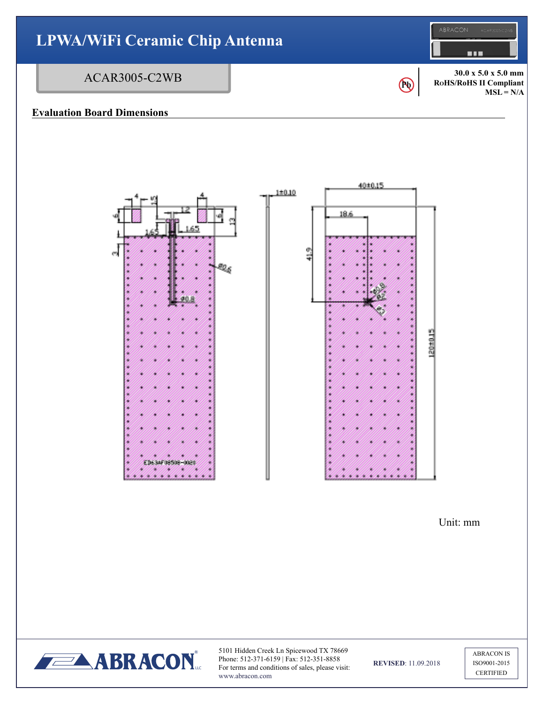

Unit: mm



5101 Hidden Creek Ln Spicewood TX 78669 Phone: 512-371-6159 | Fax: 512-351-8858 For terms and conditions of sales, please visit: www.abracon.com

**REVISED**: 11.09.2018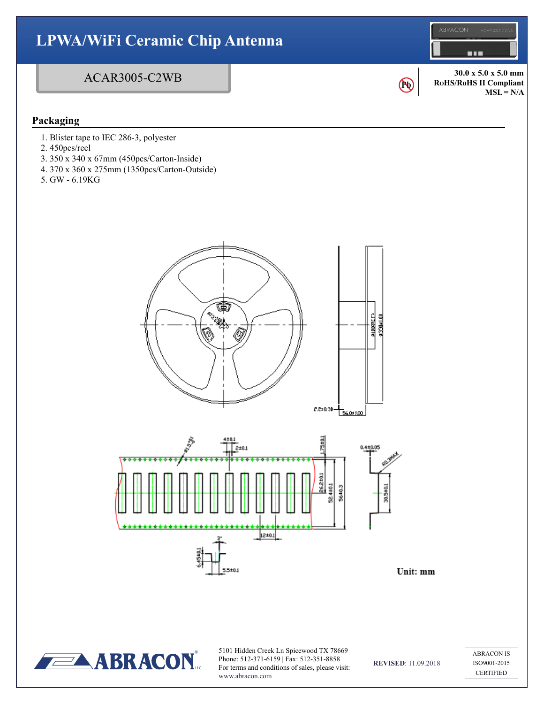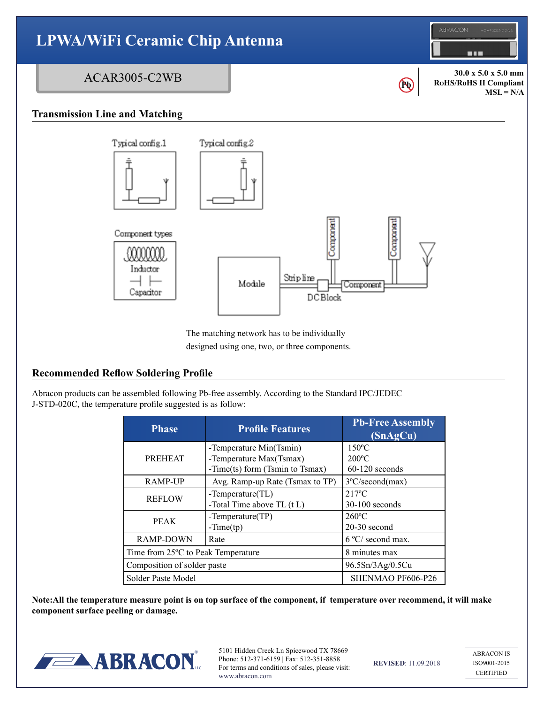

designed using one, two, or three components.

#### **Recommended Reflow Soldering Profile**

Abracon products can be assembled following Pb-free assembly. According to the Standard IPC/JEDEC J-STD-020C, the temperature profile suggested is as follow:

| <b>Phase</b>                       | <b>Profile Features</b>                                    | <b>Pb-Free Assembly</b><br>(SnAgCu) |
|------------------------------------|------------------------------------------------------------|-------------------------------------|
|                                    | -Temperature Min(Tsmin)                                    | $150^{\circ}$ C                     |
| <b>PREHEAT</b>                     | -Temperature Max(Tsmax)<br>-Time(ts) form (Tsmin to Tsmax) | $200^{\circ}$ C<br>$60-120$ seconds |
| <b>RAMP-UP</b>                     | Avg. Ramp-up Rate (Tsmax to TP)                            | $3^{\circ}$ C/second(max)           |
| <b>REFLOW</b>                      | $-Temperature(TL)$                                         | $217^{\circ}$ C                     |
|                                    | -Total Time above $TL(tL)$                                 | $30-100$ seconds                    |
| <b>PEAK</b>                        | $-Temperature(TP)$                                         | $260^{\circ}$ C                     |
|                                    | $-Time(tp)$                                                | $20-30$ second                      |
| <b>RAMP-DOWN</b>                   | Rate                                                       | 6 °C/ second max.                   |
| Time from 25°C to Peak Temperature |                                                            | 8 minutes max                       |
| Composition of solder paste        |                                                            | 96.5Sn/3Ag/0.5Cu                    |
| Solder Paste Model                 |                                                            | SHENMAO PF606-P26                   |

**Note:All the temperature measure point is on top surface of the component, if temperature over recommend, it will make component surface peeling or damage.**



5101 Hidden Creek Ln Spicewood TX 78669 Phone: 512-371-6159 | Fax: 512-351-8858 For terms and conditions of sales, please visit: www.abracon.com

**REVISED**: 11.09.2018